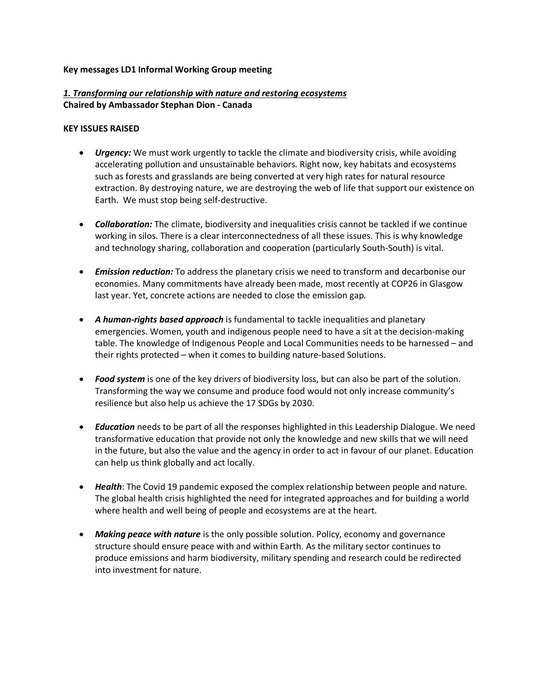#### **Key messages LD1 Informal Working Group meeting**

# *1. Transforming our relationship with nature and restoring ecosystems*  **Chaired by Ambassador Stephan Dion - Canada**

#### **KEY ISSUES RAISED**

- *Urgency:* We must work urgently to tackle the climate and biodiversity crisis, while avoiding accelerating pollution and unsustainable behaviors. Right now, key habitats and ecosystems such as forests and grasslands are being converted at very high rates for natural resource extraction. By destroying nature, we are destroying the web of life that support our existence on Earth. We must stop being self-destructive.
- *Collaboration:* The climate, biodiversity and inequalities crisis cannot be tackled if we continue working in silos. There is a clear interconnectedness of all these issues. This is why knowledge and technology sharing, collaboration and cooperation (particularly South-South) is vital.
- *Emission reduction:* To address the planetary crisis we need to transform and decarbonise our economies. Many commitments have already been made, most recently at COP26 in Glasgow last year. Yet, concrete actions are needed to close the emission gap.
- *A human-rights based approach* is fundamental to tackle inequalities and planetary emergencies. Women, youth and indigenous people need to have a sit at the decision-making table. The knowledge of Indigenous People and Local Communities needs to be harnessed – and their rights protected – when it comes to building nature-based Solutions.
- *Food system* is one of the key drivers of biodiversity loss, but can also be part of the solution. Transforming the way we consume and produce food would not only increase community's resilience but also help us achieve the 17 SDGs by 2030.
- *Education* needs to be part of all the responses highlighted in this Leadership Dialogue. We need transformative education that provide not only the knowledge and new skills that we will need in the future, but also the value and the agency in order to act in favour of our planet. Education can help us think globally and act locally.
- *Health*: The Covid 19 pandemic exposed the complex relationship between people and nature. The global health crisis highlighted the need for integrated approaches and for building a world where health and well being of people and ecosystems are at the heart.
- *Making peace with nature* is the only possible solution. Policy, economy and governance structure should ensure peace with and within Earth. As the military sector continues to produce emissions and harm biodiversity, military spending and research could be redirected into investment for nature.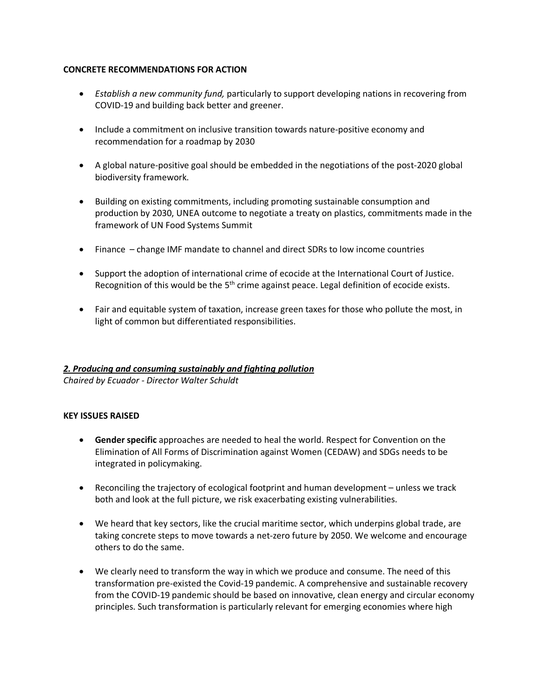## **CONCRETE RECOMMENDATIONS FOR ACTION**

- *Establish a new community fund,* particularly to support developing nations in recovering from COVID-19 and building back better and greener.
- Include a commitment on inclusive transition towards nature-positive economy and recommendation for a roadmap by 2030
- A global nature-positive goal should be embedded in the negotiations of the post-2020 global biodiversity framework.
- Building on existing commitments, including promoting sustainable consumption and production by 2030, UNEA outcome to negotiate a treaty on plastics, commitments made in the framework of UN Food Systems Summit
- Finance change IMF mandate to channel and direct SDRs to low income countries
- Support the adoption of international crime of ecocide at the International Court of Justice. Recognition of this would be the  $5<sup>th</sup>$  crime against peace. Legal definition of ecocide exists.
- Fair and equitable system of taxation, increase green taxes for those who pollute the most, in light of common but differentiated responsibilities.

## *2. Producing and consuming sustainably and fighting pollution*

*Chaired by Ecuador - Director Walter Schuldt*

## **KEY ISSUES RAISED**

- **Gender specific** approaches are needed to heal the world. Respect for Convention on the Elimination of All Forms of Discrimination against Women (CEDAW) and SDGs needs to be integrated in policymaking.
- Reconciling the trajectory of ecological footprint and human development unless we track both and look at the full picture, we risk exacerbating existing vulnerabilities.
- We heard that key sectors, like the crucial maritime sector, which underpins global trade, are taking concrete steps to move towards a net-zero future by 2050. We welcome and encourage others to do the same.
- We clearly need to transform the way in which we produce and consume. The need of this transformation pre-existed the Covid-19 pandemic. A comprehensive and sustainable recovery from the COVID-19 pandemic should be based on innovative, clean energy and circular economy principles. Such transformation is particularly relevant for emerging economies where high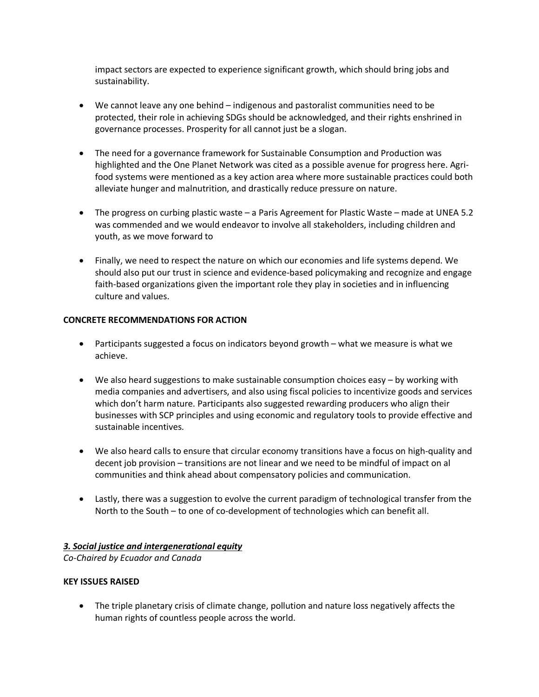impact sectors are expected to experience significant growth, which should bring jobs and sustainability.

- We cannot leave any one behind indigenous and pastoralist communities need to be protected, their role in achieving SDGs should be acknowledged, and their rights enshrined in governance processes. Prosperity for all cannot just be a slogan.
- The need for a governance framework for Sustainable Consumption and Production was highlighted and the One Planet Network was cited as a possible avenue for progress here. Agrifood systems were mentioned as a key action area where more sustainable practices could both alleviate hunger and malnutrition, and drastically reduce pressure on nature.
- The progress on curbing plastic waste a Paris Agreement for Plastic Waste made at UNEA 5.2 was commended and we would endeavor to involve all stakeholders, including children and youth, as we move forward to
- Finally, we need to respect the nature on which our economies and life systems depend. We should also put our trust in science and evidence-based policymaking and recognize and engage faith-based organizations given the important role they play in societies and in influencing culture and values.

## **CONCRETE RECOMMENDATIONS FOR ACTION**

- Participants suggested a focus on indicators beyond growth what we measure is what we achieve.
- We also heard suggestions to make sustainable consumption choices easy by working with media companies and advertisers, and also using fiscal policies to incentivize goods and services which don't harm nature. Participants also suggested rewarding producers who align their businesses with SCP principles and using economic and regulatory tools to provide effective and sustainable incentives.
- We also heard calls to ensure that circular economy transitions have a focus on high-quality and decent job provision – transitions are not linear and we need to be mindful of impact on al communities and think ahead about compensatory policies and communication.
- Lastly, there was a suggestion to evolve the current paradigm of technological transfer from the North to the South – to one of co-development of technologies which can benefit all.

## *3. Social justice and intergenerational equity*

*Co-Chaired by Ecuador and Canada*

## **KEY ISSUES RAISED**

• The triple planetary crisis of climate change, pollution and nature loss negatively affects the human rights of countless people across the world.